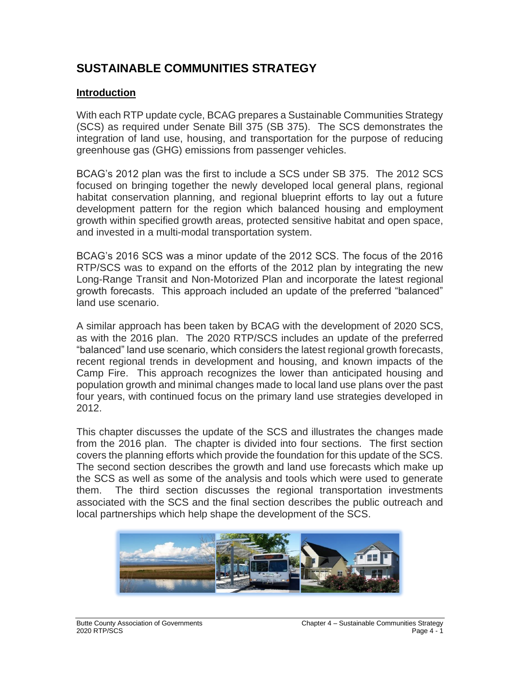# **SUSTAINABLE COMMUNITIES STRATEGY**

#### **Introduction**

With each RTP update cycle, BCAG prepares a Sustainable Communities Strategy (SCS) as required under Senate Bill 375 (SB 375). The SCS demonstrates the integration of land use, housing, and transportation for the purpose of reducing greenhouse gas (GHG) emissions from passenger vehicles.

BCAG's 2012 plan was the first to include a SCS under SB 375. The 2012 SCS focused on bringing together the newly developed local general plans, regional habitat conservation planning, and regional blueprint efforts to lay out a future development pattern for the region which balanced housing and employment growth within specified growth areas, protected sensitive habitat and open space, and invested in a multi-modal transportation system.

BCAG's 2016 SCS was a minor update of the 2012 SCS. The focus of the 2016 RTP/SCS was to expand on the efforts of the 2012 plan by integrating the new Long-Range Transit and Non-Motorized Plan and incorporate the latest regional growth forecasts. This approach included an update of the preferred "balanced" land use scenario.

A similar approach has been taken by BCAG with the development of 2020 SCS, as with the 2016 plan. The 2020 RTP/SCS includes an update of the preferred "balanced" land use scenario, which considers the latest regional growth forecasts, recent regional trends in development and housing, and known impacts of the Camp Fire. This approach recognizes the lower than anticipated housing and population growth and minimal changes made to local land use plans over the past four years, with continued focus on the primary land use strategies developed in 2012.

This chapter discusses the update of the SCS and illustrates the changes made from the 2016 plan. The chapter is divided into four sections. The first section covers the planning efforts which provide the foundation for this update of the SCS. The second section describes the growth and land use forecasts which make up the SCS as well as some of the analysis and tools which were used to generate them. The third section discusses the regional transportation investments associated with the SCS and the final section describes the public outreach and local partnerships which help shape the development of the SCS.

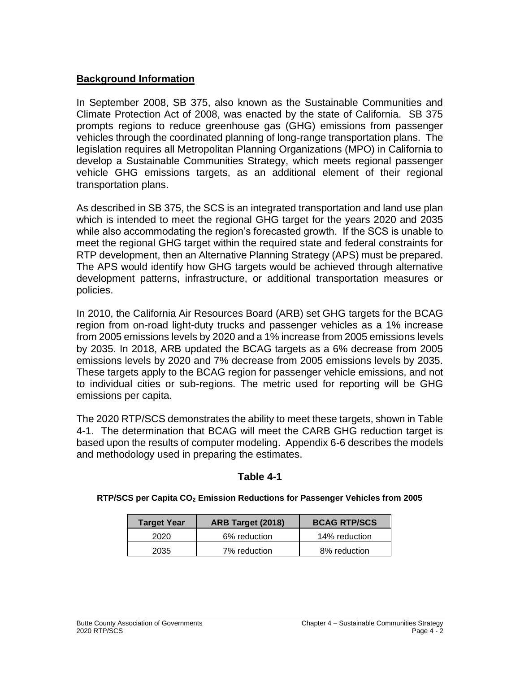### **Background Information**

In September 2008, SB 375, also known as the Sustainable Communities and Climate Protection Act of 2008, was enacted by the state of California. SB 375 prompts regions to reduce greenhouse gas (GHG) emissions from passenger vehicles through the coordinated planning of long-range transportation plans. The legislation requires all Metropolitan Planning Organizations (MPO) in California to develop a Sustainable Communities Strategy, which meets regional passenger vehicle GHG emissions targets, as an additional element of their regional transportation plans.

As described in SB 375, the SCS is an integrated transportation and land use plan which is intended to meet the regional GHG target for the years 2020 and 2035 while also accommodating the region's forecasted growth. If the SCS is unable to meet the regional GHG target within the required state and federal constraints for RTP development, then an Alternative Planning Strategy (APS) must be prepared. The APS would identify how GHG targets would be achieved through alternative development patterns, infrastructure, or additional transportation measures or policies.

In 2010, the California Air Resources Board (ARB) set GHG targets for the BCAG region from on-road light-duty trucks and passenger vehicles as a 1% increase from 2005 emissions levels by 2020 and a 1% increase from 2005 emissions levels by 2035. In 2018, ARB updated the BCAG targets as a 6% decrease from 2005 emissions levels by 2020 and 7% decrease from 2005 emissions levels by 2035. These targets apply to the BCAG region for passenger vehicle emissions, and not to individual cities or sub-regions. The metric used for reporting will be GHG emissions per capita.

The 2020 RTP/SCS demonstrates the ability to meet these targets, shown in Table 4-1. The determination that BCAG will meet the CARB GHG reduction target is based upon the results of computer modeling. Appendix 6-6 describes the models and methodology used in preparing the estimates.

#### **Table 4-1**

#### **RTP/SCS per Capita CO<sup>2</sup> Emission Reductions for Passenger Vehicles from 2005**

| <b>Target Year</b> | <b>ARB Target (2018)</b> | <b>BCAG RTP/SCS</b> |
|--------------------|--------------------------|---------------------|
| 2020               | 6% reduction             | 14% reduction       |
| 2035               | 7% reduction             | 8% reduction        |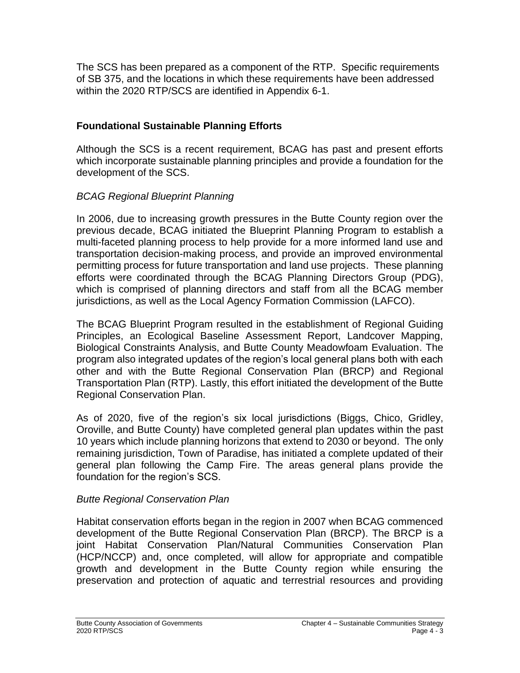The SCS has been prepared as a component of the RTP. Specific requirements of SB 375, and the locations in which these requirements have been addressed within the 2020 RTP/SCS are identified in Appendix 6-1.

# **Foundational Sustainable Planning Efforts**

Although the SCS is a recent requirement, BCAG has past and present efforts which incorporate sustainable planning principles and provide a foundation for the development of the SCS.

## *BCAG Regional Blueprint Planning*

In 2006, due to increasing growth pressures in the Butte County region over the previous decade, BCAG initiated the Blueprint Planning Program to establish a multi-faceted planning process to help provide for a more informed land use and transportation decision-making process, and provide an improved environmental permitting process for future transportation and land use projects. These planning efforts were coordinated through the BCAG Planning Directors Group (PDG), which is comprised of planning directors and staff from all the BCAG member jurisdictions, as well as the Local Agency Formation Commission (LAFCO).

The BCAG Blueprint Program resulted in the establishment of Regional Guiding Principles, an Ecological Baseline Assessment Report, Landcover Mapping, Biological Constraints Analysis, and Butte County Meadowfoam Evaluation. The program also integrated updates of the region's local general plans both with each other and with the Butte Regional Conservation Plan (BRCP) and Regional Transportation Plan (RTP). Lastly, this effort initiated the development of the Butte Regional Conservation Plan.

As of 2020, five of the region's six local jurisdictions (Biggs, Chico, Gridley, Oroville, and Butte County) have completed general plan updates within the past 10 years which include planning horizons that extend to 2030 or beyond. The only remaining jurisdiction, Town of Paradise, has initiated a complete updated of their general plan following the Camp Fire. The areas general plans provide the foundation for the region's SCS.

## *Butte Regional Conservation Plan*

Habitat conservation efforts began in the region in 2007 when BCAG commenced development of the Butte Regional Conservation Plan (BRCP). The BRCP is a joint Habitat Conservation Plan/Natural Communities Conservation Plan (HCP/NCCP) and, once completed, will allow for appropriate and compatible growth and development in the Butte County region while ensuring the preservation and protection of aquatic and terrestrial resources and providing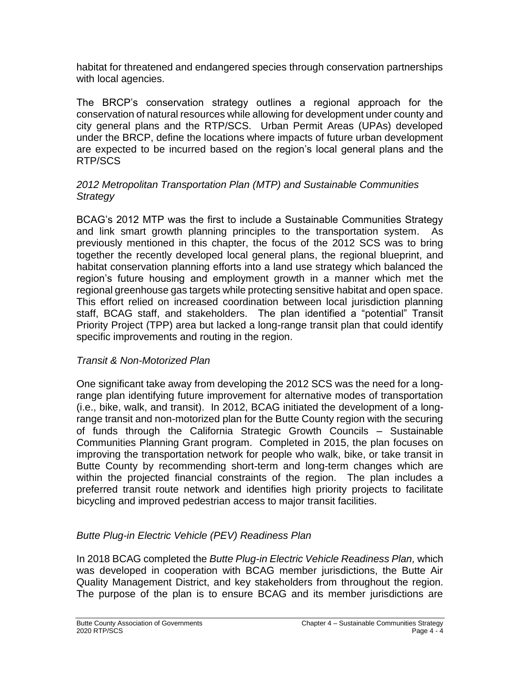habitat for threatened and endangered species through conservation partnerships with local agencies.

The BRCP's conservation strategy outlines a regional approach for the conservation of natural resources while allowing for development under county and city general plans and the RTP/SCS. Urban Permit Areas (UPAs) developed under the BRCP, define the locations where impacts of future urban development are expected to be incurred based on the region's local general plans and the RTP/SCS

#### *2012 Metropolitan Transportation Plan (MTP) and Sustainable Communities Strategy*

BCAG's 2012 MTP was the first to include a Sustainable Communities Strategy and link smart growth planning principles to the transportation system. As previously mentioned in this chapter, the focus of the 2012 SCS was to bring together the recently developed local general plans, the regional blueprint, and habitat conservation planning efforts into a land use strategy which balanced the region's future housing and employment growth in a manner which met the regional greenhouse gas targets while protecting sensitive habitat and open space. This effort relied on increased coordination between local jurisdiction planning staff, BCAG staff, and stakeholders. The plan identified a "potential" Transit Priority Project (TPP) area but lacked a long-range transit plan that could identify specific improvements and routing in the region.

## *Transit & Non-Motorized Plan*

One significant take away from developing the 2012 SCS was the need for a longrange plan identifying future improvement for alternative modes of transportation (i.e., bike, walk, and transit). In 2012, BCAG initiated the development of a longrange transit and non-motorized plan for the Butte County region with the securing of funds through the California Strategic Growth Councils – Sustainable Communities Planning Grant program. Completed in 2015, the plan focuses on improving the transportation network for people who walk, bike, or take transit in Butte County by recommending short-term and long-term changes which are within the projected financial constraints of the region. The plan includes a preferred transit route network and identifies high priority projects to facilitate bicycling and improved pedestrian access to major transit facilities.

## *Butte Plug-in Electric Vehicle (PEV) Readiness Plan*

In 2018 BCAG completed the *Butte Plug-in Electric Vehicle Readiness Plan,* which was developed in cooperation with BCAG member jurisdictions, the Butte Air Quality Management District, and key stakeholders from throughout the region. The purpose of the plan is to ensure BCAG and its member jurisdictions are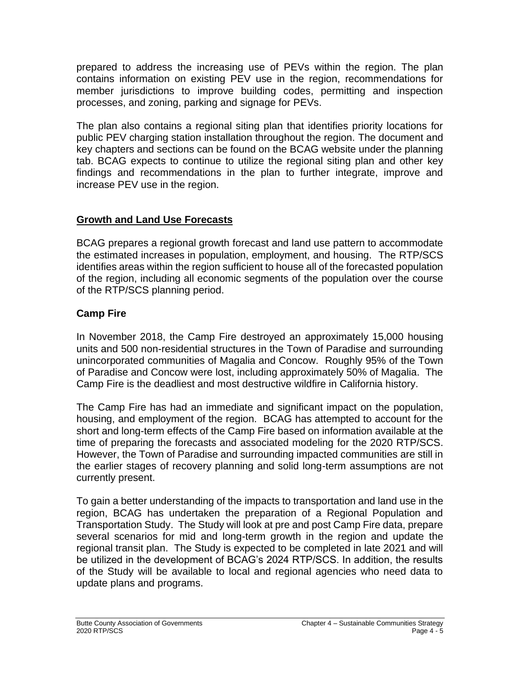prepared to address the increasing use of PEVs within the region. The plan contains information on existing PEV use in the region, recommendations for member jurisdictions to improve building codes, permitting and inspection processes, and zoning, parking and signage for PEVs.

The plan also contains a regional siting plan that identifies priority locations for public PEV charging station installation throughout the region. The document and key chapters and sections can be found on the BCAG website under the planning tab. BCAG expects to continue to utilize the regional siting plan and other key findings and recommendations in the plan to further integrate, improve and increase PEV use in the region.

# **Growth and Land Use Forecasts**

BCAG prepares a regional growth forecast and land use pattern to accommodate the estimated increases in population, employment, and housing. The RTP/SCS identifies areas within the region sufficient to house all of the forecasted population of the region, including all economic segments of the population over the course of the RTP/SCS planning period.

# **Camp Fire**

In November 2018, the Camp Fire destroyed an approximately 15,000 housing units and 500 non-residential structures in the Town of Paradise and surrounding unincorporated communities of Magalia and Concow. Roughly 95% of the Town of Paradise and Concow were lost, including approximately 50% of Magalia. The Camp Fire is the deadliest and most destructive wildfire in California history.

The Camp Fire has had an immediate and significant impact on the population, housing, and employment of the region. BCAG has attempted to account for the short and long-term effects of the Camp Fire based on information available at the time of preparing the forecasts and associated modeling for the 2020 RTP/SCS. However, the Town of Paradise and surrounding impacted communities are still in the earlier stages of recovery planning and solid long-term assumptions are not currently present.

To gain a better understanding of the impacts to transportation and land use in the region, BCAG has undertaken the preparation of a Regional Population and Transportation Study. The Study will look at pre and post Camp Fire data, prepare several scenarios for mid and long-term growth in the region and update the regional transit plan. The Study is expected to be completed in late 2021 and will be utilized in the development of BCAG's 2024 RTP/SCS. In addition, the results of the Study will be available to local and regional agencies who need data to update plans and programs.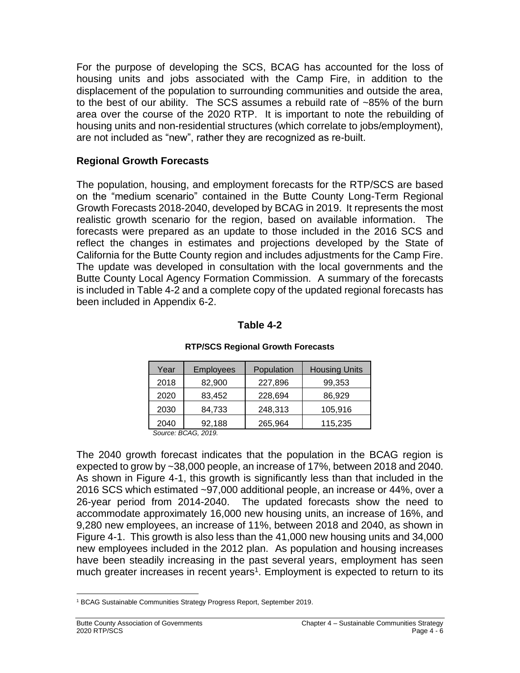For the purpose of developing the SCS, BCAG has accounted for the loss of housing units and jobs associated with the Camp Fire, in addition to the displacement of the population to surrounding communities and outside the area, to the best of our ability. The SCS assumes a rebuild rate of ~85% of the burn area over the course of the 2020 RTP. It is important to note the rebuilding of housing units and non-residential structures (which correlate to jobs/employment), are not included as "new", rather they are recognized as re-built.

## **Regional Growth Forecasts**

The population, housing, and employment forecasts for the RTP/SCS are based on the "medium scenario" contained in the Butte County Long-Term Regional Growth Forecasts 2018-2040, developed by BCAG in 2019. It represents the most realistic growth scenario for the region, based on available information. The forecasts were prepared as an update to those included in the 2016 SCS and reflect the changes in estimates and projections developed by the State of California for the Butte County region and includes adjustments for the Camp Fire. The update was developed in consultation with the local governments and the Butte County Local Agency Formation Commission. A summary of the forecasts is included in Table 4-2 and a complete copy of the updated regional forecasts has been included in Appendix 6-2.

### **Table 4-2**

| Year                       | <b>Employees</b> | Population | <b>Housing Units</b> |  |
|----------------------------|------------------|------------|----------------------|--|
| 2018                       | 82,900           | 227,896    | 99,353               |  |
| 2020                       | 83,452           | 228,694    | 86,929               |  |
| 2030                       | 84,733           | 248,313    | 105,916              |  |
| 2040                       | 92,188           | 265,964    | 115,235              |  |
| $C_{OUTCO}$ $R C A C 2010$ |                  |            |                      |  |

#### **RTP/SCS Regional Growth Forecasts**

*Source: BCAG, 2019.*

The 2040 growth forecast indicates that the population in the BCAG region is expected to grow by ~38,000 people, an increase of 17%, between 2018 and 2040. As shown in Figure 4-1, this growth is significantly less than that included in the 2016 SCS which estimated ~97,000 additional people, an increase or 44%, over a 26-year period from 2014-2040. The updated forecasts show the need to accommodate approximately 16,000 new housing units, an increase of 16%, and 9,280 new employees, an increase of 11%, between 2018 and 2040, as shown in Figure 4-1. This growth is also less than the 41,000 new housing units and 34,000 new employees included in the 2012 plan. As population and housing increases have been steadily increasing in the past several years, employment has seen much greater increases in recent years<sup>1</sup>. Employment is expected to return to its

<sup>1</sup> BCAG Sustainable Communities Strategy Progress Report, September 2019.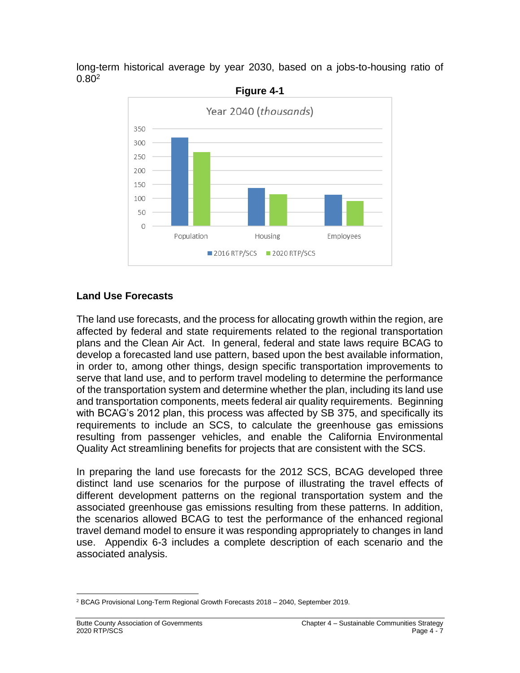long-term historical average by year 2030, based on a jobs-to-housing ratio of  $0.80^{2}$ 



### **Land Use Forecasts**

The land use forecasts, and the process for allocating growth within the region, are affected by federal and state requirements related to the regional transportation plans and the Clean Air Act. In general, federal and state laws require BCAG to develop a forecasted land use pattern, based upon the best available information, in order to, among other things, design specific transportation improvements to serve that land use, and to perform travel modeling to determine the performance of the transportation system and determine whether the plan, including its land use and transportation components, meets federal air quality requirements. Beginning with BCAG's 2012 plan, this process was affected by SB 375, and specifically its requirements to include an SCS, to calculate the greenhouse gas emissions resulting from passenger vehicles, and enable the California Environmental Quality Act streamlining benefits for projects that are consistent with the SCS.

In preparing the land use forecasts for the 2012 SCS, BCAG developed three distinct land use scenarios for the purpose of illustrating the travel effects of different development patterns on the regional transportation system and the associated greenhouse gas emissions resulting from these patterns. In addition, the scenarios allowed BCAG to test the performance of the enhanced regional travel demand model to ensure it was responding appropriately to changes in land use. Appendix 6-3 includes a complete description of each scenario and the associated analysis.

<sup>2</sup> BCAG Provisional Long-Term Regional Growth Forecasts 2018 – 2040, September 2019.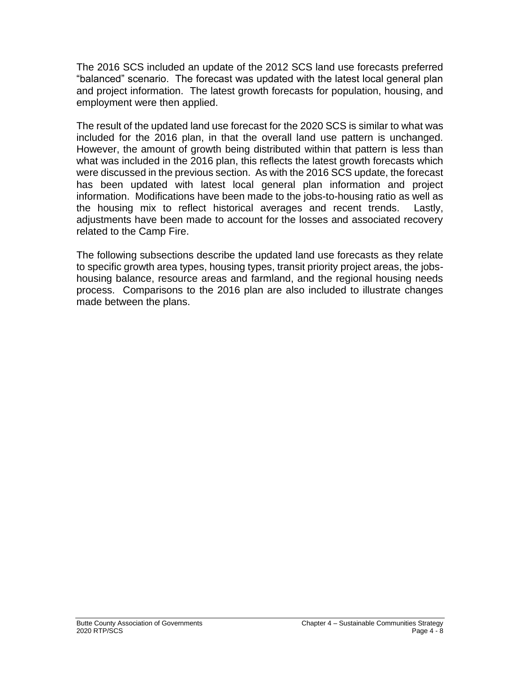The 2016 SCS included an update of the 2012 SCS land use forecasts preferred "balanced" scenario. The forecast was updated with the latest local general plan and project information. The latest growth forecasts for population, housing, and employment were then applied.

The result of the updated land use forecast for the 2020 SCS is similar to what was included for the 2016 plan, in that the overall land use pattern is unchanged. However, the amount of growth being distributed within that pattern is less than what was included in the 2016 plan, this reflects the latest growth forecasts which were discussed in the previous section. As with the 2016 SCS update, the forecast has been updated with latest local general plan information and project information. Modifications have been made to the jobs-to-housing ratio as well as the housing mix to reflect historical averages and recent trends. Lastly, adjustments have been made to account for the losses and associated recovery related to the Camp Fire.

The following subsections describe the updated land use forecasts as they relate to specific growth area types, housing types, transit priority project areas, the jobshousing balance, resource areas and farmland, and the regional housing needs process. Comparisons to the 2016 plan are also included to illustrate changes made between the plans.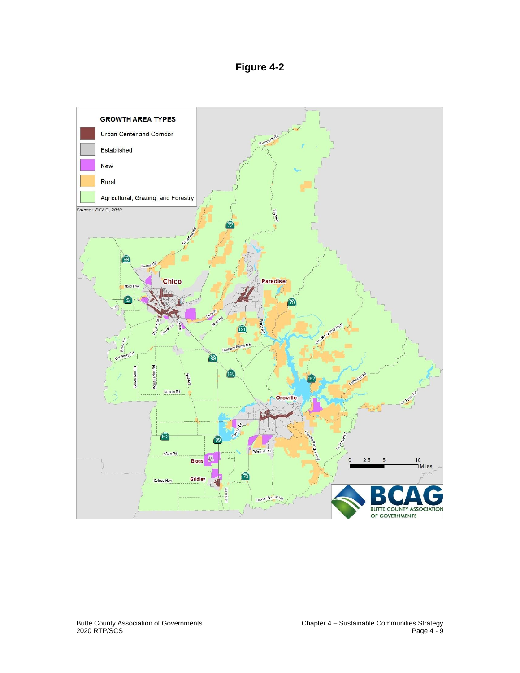# **Figure 4-2**

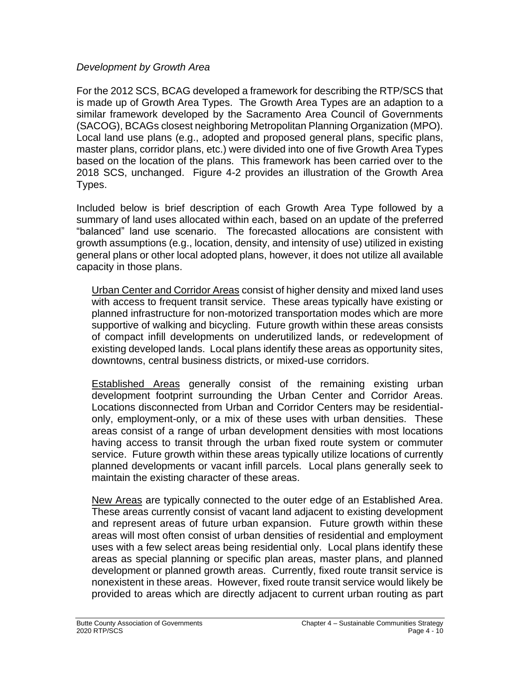#### *Development by Growth Area*

For the 2012 SCS, BCAG developed a framework for describing the RTP/SCS that is made up of Growth Area Types. The Growth Area Types are an adaption to a similar framework developed by the Sacramento Area Council of Governments (SACOG), BCAGs closest neighboring Metropolitan Planning Organization (MPO). Local land use plans (e.g., adopted and proposed general plans, specific plans, master plans, corridor plans, etc.) were divided into one of five Growth Area Types based on the location of the plans. This framework has been carried over to the 2018 SCS, unchanged. Figure 4-2 provides an illustration of the Growth Area Types.

Included below is brief description of each Growth Area Type followed by a summary of land uses allocated within each, based on an update of the preferred "balanced" land use scenario. The forecasted allocations are consistent with growth assumptions (e.g., location, density, and intensity of use) utilized in existing general plans or other local adopted plans, however, it does not utilize all available capacity in those plans.

Urban Center and Corridor Areas consist of higher density and mixed land uses with access to frequent transit service. These areas typically have existing or planned infrastructure for non-motorized transportation modes which are more supportive of walking and bicycling. Future growth within these areas consists of compact infill developments on underutilized lands, or redevelopment of existing developed lands. Local plans identify these areas as opportunity sites, downtowns, central business districts, or mixed-use corridors.

Established Areas generally consist of the remaining existing urban development footprint surrounding the Urban Center and Corridor Areas. Locations disconnected from Urban and Corridor Centers may be residentialonly, employment-only, or a mix of these uses with urban densities. These areas consist of a range of urban development densities with most locations having access to transit through the urban fixed route system or commuter service. Future growth within these areas typically utilize locations of currently planned developments or vacant infill parcels. Local plans generally seek to maintain the existing character of these areas.

New Areas are typically connected to the outer edge of an Established Area. These areas currently consist of vacant land adjacent to existing development and represent areas of future urban expansion. Future growth within these areas will most often consist of urban densities of residential and employment uses with a few select areas being residential only. Local plans identify these areas as special planning or specific plan areas, master plans, and planned development or planned growth areas. Currently, fixed route transit service is nonexistent in these areas. However, fixed route transit service would likely be provided to areas which are directly adjacent to current urban routing as part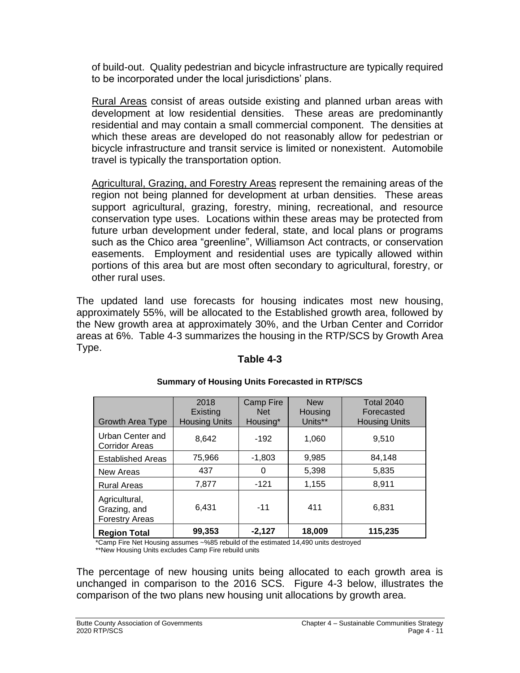of build-out. Quality pedestrian and bicycle infrastructure are typically required to be incorporated under the local jurisdictions' plans.

Rural Areas consist of areas outside existing and planned urban areas with development at low residential densities. These areas are predominantly residential and may contain a small commercial component. The densities at which these areas are developed do not reasonably allow for pedestrian or bicycle infrastructure and transit service is limited or nonexistent. Automobile travel is typically the transportation option.

Agricultural, Grazing, and Forestry Areas represent the remaining areas of the region not being planned for development at urban densities. These areas support agricultural, grazing, forestry, mining, recreational, and resource conservation type uses. Locations within these areas may be protected from future urban development under federal, state, and local plans or programs such as the Chico area "greenline", Williamson Act contracts, or conservation easements. Employment and residential uses are typically allowed within portions of this area but are most often secondary to agricultural, forestry, or other rural uses.

The updated land use forecasts for housing indicates most new housing, approximately 55%, will be allocated to the Established growth area, followed by the New growth area at approximately 30%, and the Urban Center and Corridor areas at 6%. Table 4-3 summarizes the housing in the RTP/SCS by Growth Area Type.

| Growth Area Type                                       | 2018<br>Existing<br><b>Housing Units</b> | Camp Fire<br><b>Net</b><br>Housing* | <b>New</b><br>Housing<br>Units** | <b>Total 2040</b><br>Forecasted<br><b>Housing Units</b> |
|--------------------------------------------------------|------------------------------------------|-------------------------------------|----------------------------------|---------------------------------------------------------|
| Urban Center and<br><b>Corridor Areas</b>              | 8,642                                    | $-192$                              | 1,060                            | 9,510                                                   |
| <b>Established Areas</b>                               | 75,966                                   | $-1,803$                            | 9,985                            | 84,148                                                  |
| New Areas                                              | 437                                      | 0                                   | 5,398                            | 5,835                                                   |
| <b>Rural Areas</b>                                     | 7,877                                    | $-121$                              | 1,155                            | 8,911                                                   |
| Agricultural,<br>Grazing, and<br><b>Forestry Areas</b> | 6,431                                    | $-11$                               | 411                              | 6,831                                                   |
| <b>Region Total</b>                                    | 99,353                                   | $-2.127$                            | 18,009                           | 115,235                                                 |

## **Table 4-3**

#### **Summary of Housing Units Forecasted in RTP/SCS**

\*Camp Fire Net Housing assumes ~%85 rebuild of the estimated 14,490 units destroyed

\*\*New Housing Units excludes Camp Fire rebuild units

The percentage of new housing units being allocated to each growth area is unchanged in comparison to the 2016 SCS. Figure 4-3 below, illustrates the comparison of the two plans new housing unit allocations by growth area.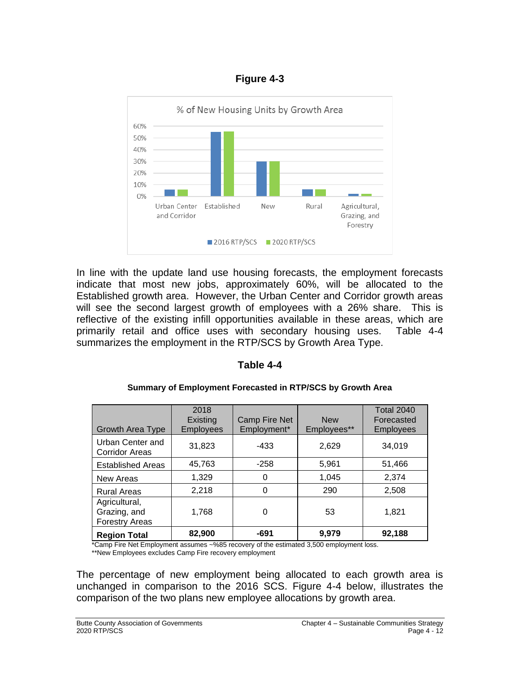### **Figure 4-3**



In line with the update land use housing forecasts, the employment forecasts indicate that most new jobs, approximately 60%, will be allocated to the Established growth area. However, the Urban Center and Corridor growth areas will see the second largest growth of employees with a 26% share. This is reflective of the existing infill opportunities available in these areas, which are primarily retail and office uses with secondary housing uses. Table 4-4 summarizes the employment in the RTP/SCS by Growth Area Type.

#### **Table 4-4**

| Growth Area Type                                       | 2018<br>Existing<br><b>Employees</b> | <b>Camp Fire Net</b><br>Employment* | <b>New</b><br>Employees**                               | <b>Total 2040</b><br>Forecasted<br><b>Employees</b> |
|--------------------------------------------------------|--------------------------------------|-------------------------------------|---------------------------------------------------------|-----------------------------------------------------|
| Urban Center and<br><b>Corridor Areas</b>              | 31,823                               | $-433$                              | 2,629                                                   | 34,019                                              |
| <b>Established Areas</b>                               | 45,763                               | $-258$                              | 5,961                                                   | 51,466                                              |
| New Areas                                              | 1,329                                | 0                                   | 1,045                                                   | 2,374                                               |
| <b>Rural Areas</b>                                     | 2,218                                | 0                                   | 290                                                     | 2,508                                               |
| Agricultural,<br>Grazing, and<br><b>Forestry Areas</b> | 1,768                                | 0                                   | 53                                                      | 1,821                                               |
| <b>Region Total</b><br>$-1$ $-1$ $-1$                  | 82,900                               | $-691$<br>$\sim$                    | 9,979<br>$\mathbf{a}$ and $\mathbf{a}$ and $\mathbf{a}$ | 92,188                                              |

#### **Summary of Employment Forecasted in RTP/SCS by Growth Area**

\*Camp Fire Net Employment assumes ~%85 recovery of the estimated 3,500 employment loss. \*\*New Employees excludes Camp Fire recovery employment

The percentage of new employment being allocated to each growth area is unchanged in comparison to the 2016 SCS. Figure 4-4 below, illustrates the comparison of the two plans new employee allocations by growth area.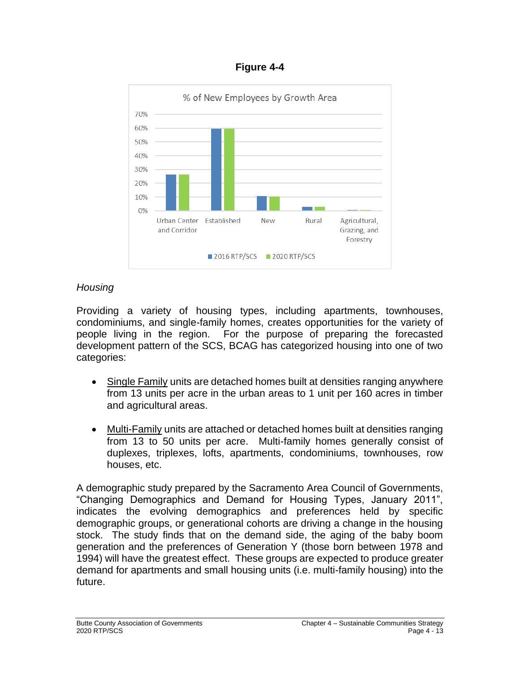#### **Figure 4-4**



# *Housing*

Providing a variety of housing types, including apartments, townhouses, condominiums, and single-family homes, creates opportunities for the variety of people living in the region. For the purpose of preparing the forecasted development pattern of the SCS, BCAG has categorized housing into one of two categories:

- Single Family units are detached homes built at densities ranging anywhere from 13 units per acre in the urban areas to 1 unit per 160 acres in timber and agricultural areas.
- Multi-Family units are attached or detached homes built at densities ranging from 13 to 50 units per acre. Multi-family homes generally consist of duplexes, triplexes, lofts, apartments, condominiums, townhouses, row houses, etc.

A demographic study prepared by the Sacramento Area Council of Governments, "Changing Demographics and Demand for Housing Types, January 2011", indicates the evolving demographics and preferences held by specific demographic groups, or generational cohorts are driving a change in the housing stock. The study finds that on the demand side, the aging of the baby boom generation and the preferences of Generation Y (those born between 1978 and 1994) will have the greatest effect. These groups are expected to produce greater demand for apartments and small housing units (i.e. multi-family housing) into the future.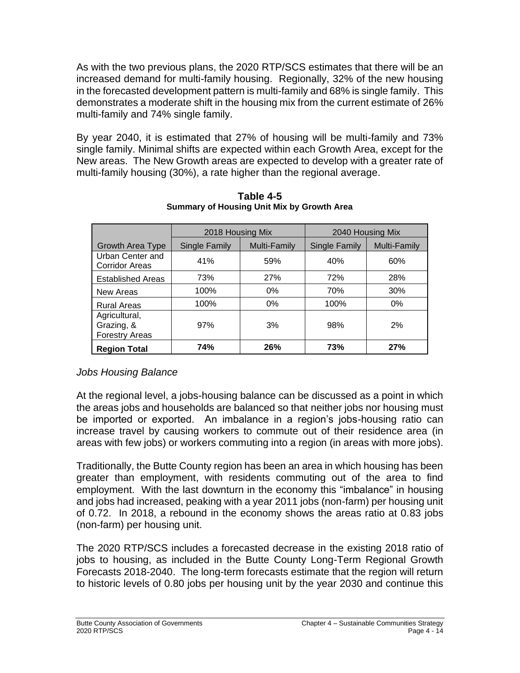As with the two previous plans, the 2020 RTP/SCS estimates that there will be an increased demand for multi-family housing. Regionally, 32% of the new housing in the forecasted development pattern is multi-family and 68% is single family. This demonstrates a moderate shift in the housing mix from the current estimate of 26% multi-family and 74% single family.

By year 2040, it is estimated that 27% of housing will be multi-family and 73% single family. Minimal shifts are expected within each Growth Area, except for the New areas. The New Growth areas are expected to develop with a greater rate of multi-family housing (30%), a rate higher than the regional average.

|                                                      | 2018 Housing Mix     |              | 2040 Housing Mix |                     |
|------------------------------------------------------|----------------------|--------------|------------------|---------------------|
| <b>Growth Area Type</b>                              | <b>Single Family</b> | Multi-Family | Single Family    | <b>Multi-Family</b> |
| Urban Center and<br><b>Corridor Areas</b>            | 41%                  | 59%          | 40%              | 60%                 |
| <b>Established Areas</b>                             | 73%                  | 27%          | 72%              | 28%                 |
| New Areas                                            | 100%                 | 0%           | 70%              | 30%                 |
| <b>Rural Areas</b>                                   | 100%                 | 0%           | 100%             | 0%                  |
| Agricultural,<br>Grazing, &<br><b>Forestry Areas</b> | 97%                  | 3%           | 98%              | 2%                  |
| <b>Region Total</b>                                  | 74%                  | 26%          | 73%              | 27%                 |

**Table 4-5 Summary of Housing Unit Mix by Growth Area**

## *Jobs Housing Balance*

At the regional level, a jobs-housing balance can be discussed as a point in which the areas jobs and households are balanced so that neither jobs nor housing must be imported or exported. An imbalance in a region's jobs-housing ratio can increase travel by causing workers to commute out of their residence area (in areas with few jobs) or workers commuting into a region (in areas with more jobs).

Traditionally, the Butte County region has been an area in which housing has been greater than employment, with residents commuting out of the area to find employment. With the last downturn in the economy this "imbalance" in housing and jobs had increased, peaking with a year 2011 jobs (non-farm) per housing unit of 0.72. In 2018, a rebound in the economy shows the areas ratio at 0.83 jobs (non-farm) per housing unit.

The 2020 RTP/SCS includes a forecasted decrease in the existing 2018 ratio of jobs to housing, as included in the Butte County Long-Term Regional Growth Forecasts 2018-2040. The long-term forecasts estimate that the region will return to historic levels of 0.80 jobs per housing unit by the year 2030 and continue this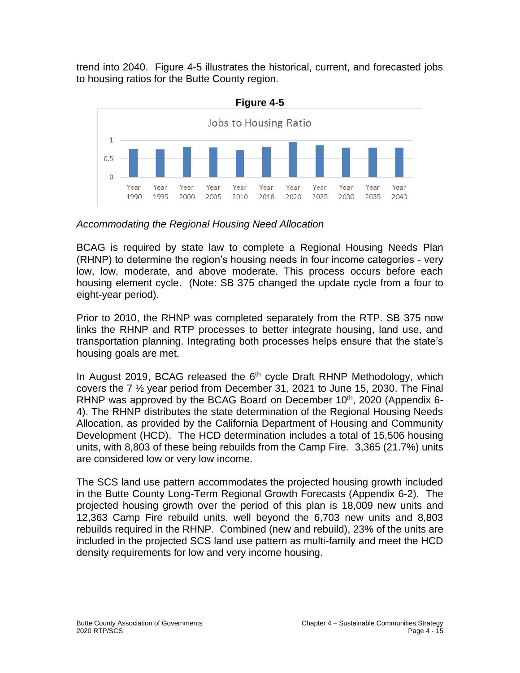trend into 2040. Figure 4-5 illustrates the historical, current, and forecasted jobs to housing ratios for the Butte County region.



*Accommodating the Regional Housing Need Allocation*

BCAG is required by state law to complete a Regional Housing Needs Plan (RHNP) to determine the region's housing needs in four income categories - very low, low, moderate, and above moderate. This process occurs before each housing element cycle. (Note: SB 375 changed the update cycle from a four to eight-year period).

Prior to 2010, the RHNP was completed separately from the RTP. SB 375 now links the RHNP and RTP processes to better integrate housing, land use, and transportation planning. Integrating both processes helps ensure that the state's housing goals are met.

In August 2019, BCAG released the 6<sup>th</sup> cycle Draft RHNP Methodology, which covers the 7 ½ year period from December 31, 2021 to June 15, 2030. The Final RHNP was approved by the BCAG Board on December  $10<sup>th</sup>$ , 2020 (Appendix 6-4). The RHNP distributes the state determination of the Regional Housing Needs Allocation, as provided by the California Department of Housing and Community Development (HCD). The HCD determination includes a total of 15,506 housing units, with 8,803 of these being rebuilds from the Camp Fire. 3,365 (21.7%) units are considered low or very low income.

The SCS land use pattern accommodates the projected housing growth included in the Butte County Long-Term Regional Growth Forecasts (Appendix 6-2). The projected housing growth over the period of this plan is 18,009 new units and 12,363 Camp Fire rebuild units, well beyond the 6,703 new units and 8,803 rebuilds required in the RHNP. Combined (new and rebuild), 23% of the units are included in the projected SCS land use pattern as multi-family and meet the HCD density requirements for low and very income housing.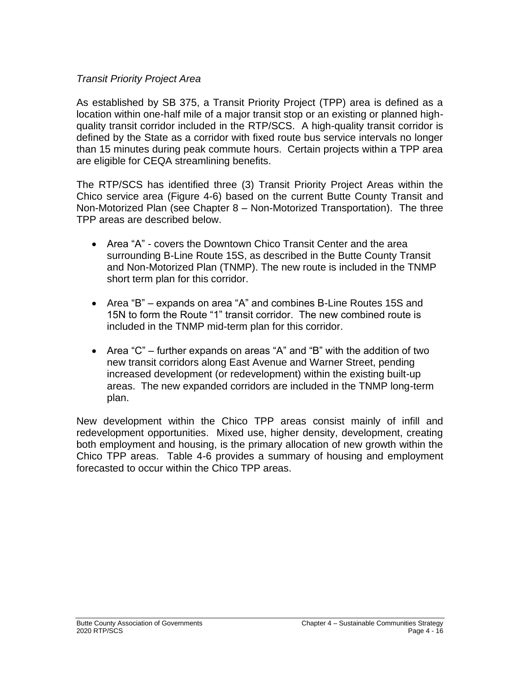### *Transit Priority Project Area*

As established by SB 375, a Transit Priority Project (TPP) area is defined as a location within one-half mile of a major transit stop or an existing or planned highquality transit corridor included in the RTP/SCS. A high-quality transit corridor is defined by the State as a corridor with fixed route bus service intervals no longer than 15 minutes during peak commute hours. Certain projects within a TPP area are eligible for CEQA streamlining benefits.

The RTP/SCS has identified three (3) Transit Priority Project Areas within the Chico service area (Figure 4-6) based on the current Butte County Transit and Non-Motorized Plan (see Chapter 8 – Non-Motorized Transportation). The three TPP areas are described below.

- Area "A" covers the Downtown Chico Transit Center and the area surrounding B-Line Route 15S, as described in the Butte County Transit and Non-Motorized Plan (TNMP). The new route is included in the TNMP short term plan for this corridor.
- Area "B" expands on area "A" and combines B-Line Routes 15S and 15N to form the Route "1" transit corridor. The new combined route is included in the TNMP mid-term plan for this corridor.
- Area "C" further expands on areas "A" and "B" with the addition of two new transit corridors along East Avenue and Warner Street, pending increased development (or redevelopment) within the existing built-up areas. The new expanded corridors are included in the TNMP long-term plan.

New development within the Chico TPP areas consist mainly of infill and redevelopment opportunities. Mixed use, higher density, development, creating both employment and housing, is the primary allocation of new growth within the Chico TPP areas. Table 4-6 provides a summary of housing and employment forecasted to occur within the Chico TPP areas.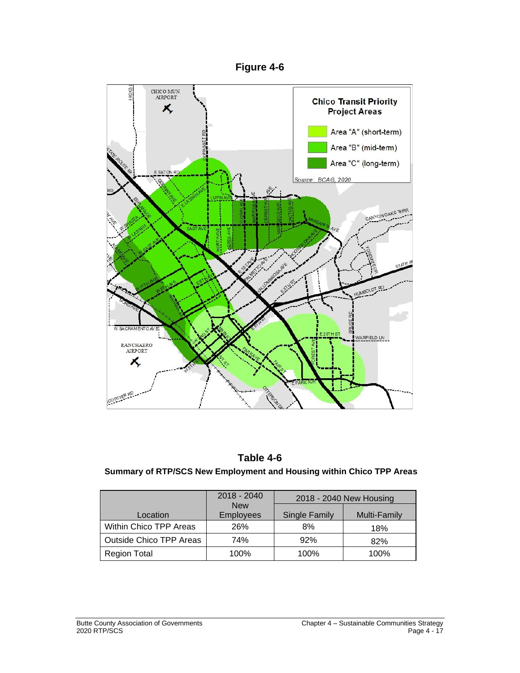



## **Table 4-6**

#### **Summary of RTP/SCS New Employment and Housing within Chico TPP Areas**

|                                | 2018 - 2040                    | 2018 - 2040 New Housing |              |
|--------------------------------|--------------------------------|-------------------------|--------------|
| Location                       | <b>New</b><br><b>Employees</b> | <b>Single Family</b>    | Multi-Family |
| Within Chico TPP Areas         | 26%                            | 8%                      | 18%          |
| <b>Outside Chico TPP Areas</b> | 74%                            | 92%                     | 82%          |
| <b>Region Total</b>            | 100%                           | 100%                    | 100%         |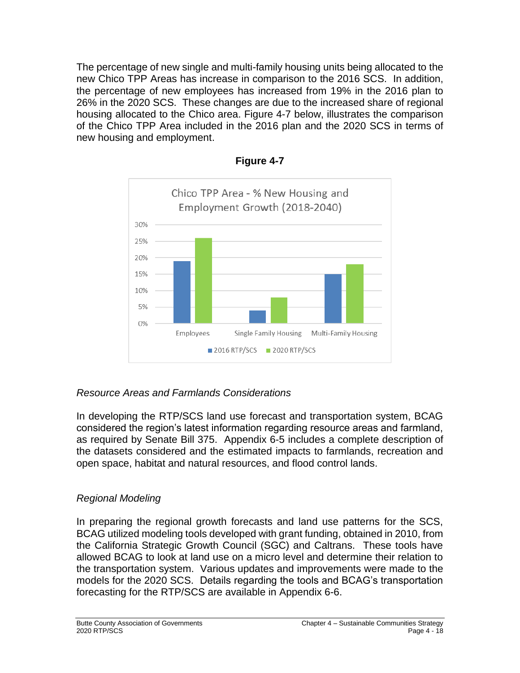The percentage of new single and multi-family housing units being allocated to the new Chico TPP Areas has increase in comparison to the 2016 SCS. In addition, the percentage of new employees has increased from 19% in the 2016 plan to 26% in the 2020 SCS. These changes are due to the increased share of regional housing allocated to the Chico area. Figure 4-7 below, illustrates the comparison of the Chico TPP Area included in the 2016 plan and the 2020 SCS in terms of new housing and employment.



**Figure 4-7**

## *Resource Areas and Farmlands Considerations*

In developing the RTP/SCS land use forecast and transportation system, BCAG considered the region's latest information regarding resource areas and farmland, as required by Senate Bill 375. Appendix 6-5 includes a complete description of the datasets considered and the estimated impacts to farmlands, recreation and open space, habitat and natural resources, and flood control lands.

# *Regional Modeling*

In preparing the regional growth forecasts and land use patterns for the SCS, BCAG utilized modeling tools developed with grant funding, obtained in 2010, from the California Strategic Growth Council (SGC) and Caltrans. These tools have allowed BCAG to look at land use on a micro level and determine their relation to the transportation system. Various updates and improvements were made to the models for the 2020 SCS. Details regarding the tools and BCAG's transportation forecasting for the RTP/SCS are available in Appendix 6-6.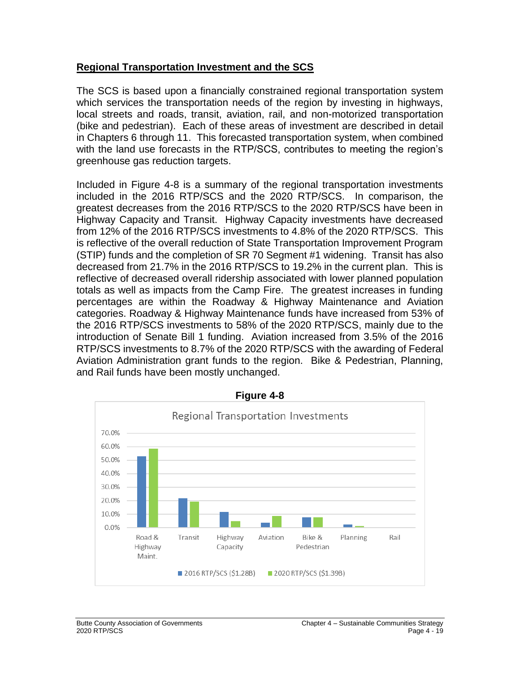### **Regional Transportation Investment and the SCS**

The SCS is based upon a financially constrained regional transportation system which services the transportation needs of the region by investing in highways, local streets and roads, transit, aviation, rail, and non-motorized transportation (bike and pedestrian). Each of these areas of investment are described in detail in Chapters 6 through 11. This forecasted transportation system, when combined with the land use forecasts in the RTP/SCS, contributes to meeting the region's greenhouse gas reduction targets.

Included in Figure 4-8 is a summary of the regional transportation investments included in the 2016 RTP/SCS and the 2020 RTP/SCS. In comparison, the greatest decreases from the 2016 RTP/SCS to the 2020 RTP/SCS have been in Highway Capacity and Transit. Highway Capacity investments have decreased from 12% of the 2016 RTP/SCS investments to 4.8% of the 2020 RTP/SCS. This is reflective of the overall reduction of State Transportation Improvement Program (STIP) funds and the completion of SR 70 Segment #1 widening. Transit has also decreased from 21.7% in the 2016 RTP/SCS to 19.2% in the current plan. This is reflective of decreased overall ridership associated with lower planned population totals as well as impacts from the Camp Fire. The greatest increases in funding percentages are within the Roadway & Highway Maintenance and Aviation categories. Roadway & Highway Maintenance funds have increased from 53% of the 2016 RTP/SCS investments to 58% of the 2020 RTP/SCS, mainly due to the introduction of Senate Bill 1 funding. Aviation increased from 3.5% of the 2016 RTP/SCS investments to 8.7% of the 2020 RTP/SCS with the awarding of Federal Aviation Administration grant funds to the region. Bike & Pedestrian, Planning, and Rail funds have been mostly unchanged.



**Figure 4-8**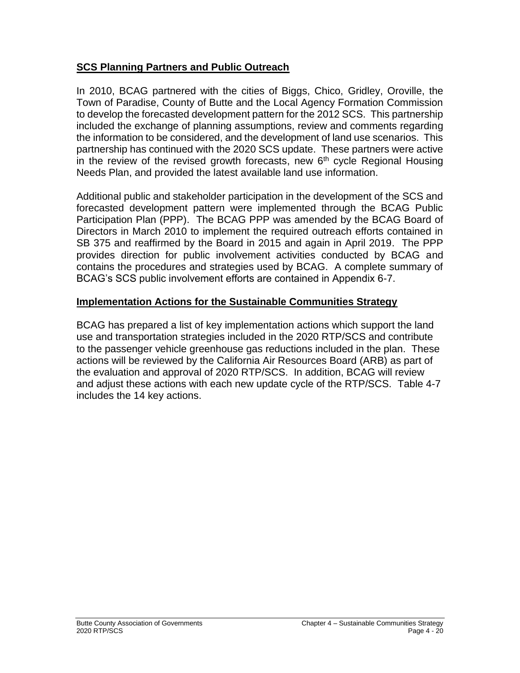### **SCS Planning Partners and Public Outreach**

In 2010, BCAG partnered with the cities of Biggs, Chico, Gridley, Oroville, the Town of Paradise, County of Butte and the Local Agency Formation Commission to develop the forecasted development pattern for the 2012 SCS. This partnership included the exchange of planning assumptions, review and comments regarding the information to be considered, and the development of land use scenarios. This partnership has continued with the 2020 SCS update. These partners were active in the review of the revised growth forecasts, new  $6<sup>th</sup>$  cycle Regional Housing Needs Plan, and provided the latest available land use information.

Additional public and stakeholder participation in the development of the SCS and forecasted development pattern were implemented through the BCAG Public Participation Plan (PPP). The BCAG PPP was amended by the BCAG Board of Directors in March 2010 to implement the required outreach efforts contained in SB 375 and reaffirmed by the Board in 2015 and again in April 2019. The PPP provides direction for public involvement activities conducted by BCAG and contains the procedures and strategies used by BCAG. A complete summary of BCAG's SCS public involvement efforts are contained in Appendix 6-7.

## **Implementation Actions for the Sustainable Communities Strategy**

BCAG has prepared a list of key implementation actions which support the land use and transportation strategies included in the 2020 RTP/SCS and contribute to the passenger vehicle greenhouse gas reductions included in the plan. These actions will be reviewed by the California Air Resources Board (ARB) as part of the evaluation and approval of 2020 RTP/SCS. In addition, BCAG will review and adjust these actions with each new update cycle of the RTP/SCS. Table 4-7 includes the 14 key actions.